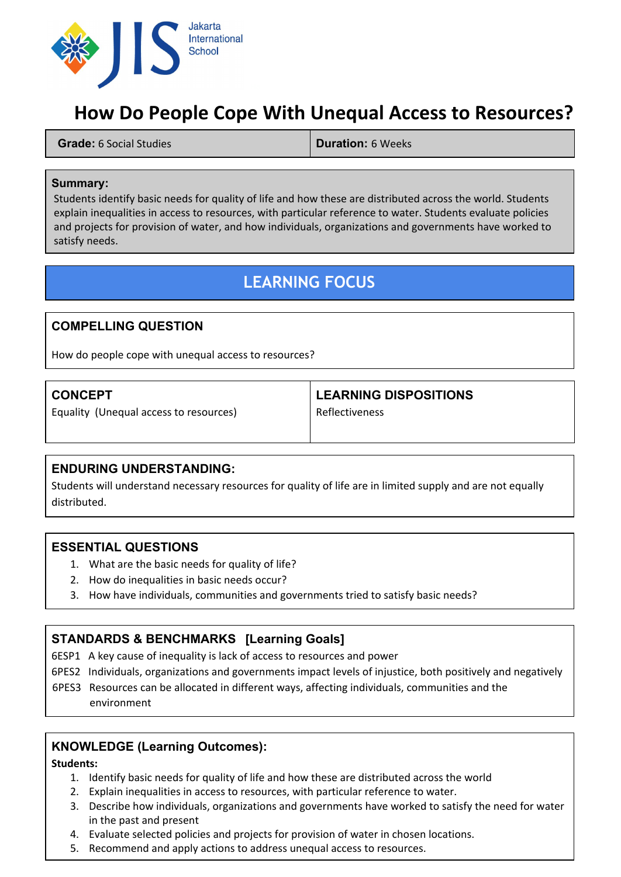

# **How Do People Cope With Unequal Access to Resources?**

**Grade:**6 Social Studies **Duration:** 6 Weeks

#### **Summary:**

Students identify basic needs for quality of life and how these are distributed across the world. Students explain inequalities in access to resources, with particular reference to water. Students evaluate policies and projects for provision of water, and how individuals, organizations and governments have worked to satisfy needs.

## **LEARNING FOCUS**

### **COMPELLING QUESTION**

How do people cope with unequal access to resources?

### **CONCEPT**

Equality (Unequal access to resources)

### **LEARNING DISPOSITIONS**

Reflectiveness

### **ENDURING UNDERSTANDING:**

Students will understand necessary resources for quality of life are in limited supply and are not equally distributed.

### **ESSENTIAL QUESTIONS**

- 1. What are the basic needs for quality of life?
- 2. How do inequalities in basic needs occur?
- 3. How have individuals, communities and governments tried to satisfy basic needs?

## **STANDARDS & BENCHMARKS[Learning Goals]**

6ESP1 A key cause of inequality is lack of access to resources and power

- 6PES2 Individuals, organizations and governments impact levels of injustice, both positively and negatively
- 6PES3 Resources can be allocated in different ways, affecting individuals, communities and the

environment

## **KNOWLEDGE (Learning Outcomes):**

#### **Students:**

- 1. Identify basic needs for quality of life and how these are distributed across the world
- 2. Explain inequalities in access to resources, with particular reference to water.
- 3. Describe how individuals, organizations and governments have worked to satisfy the need for water in the past and present
- 4. Evaluate selected policies and projects for provision of water in chosen locations.
- 5. Recommend and apply actions to address unequal access to resources.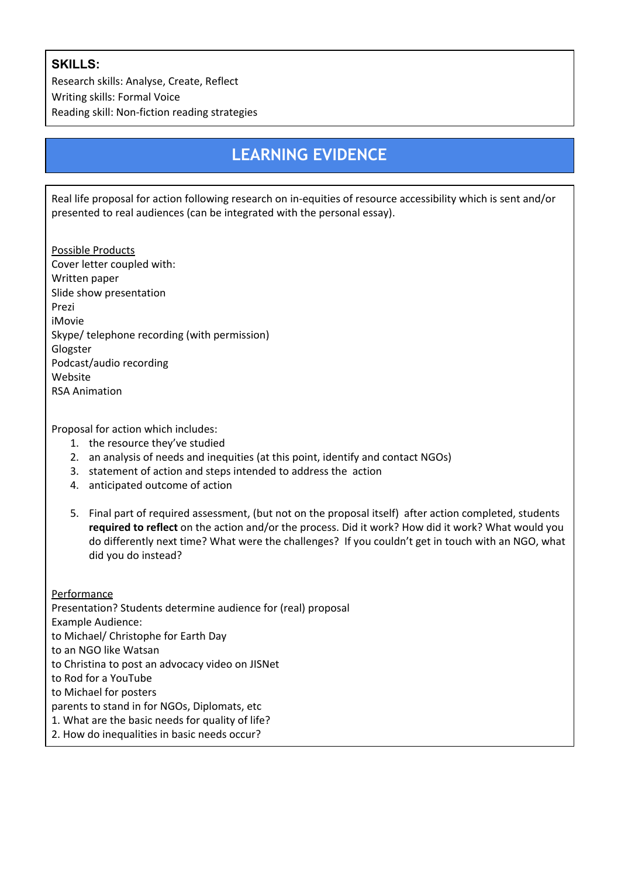## **SKILLS:**

Research skills: Analyse, Create, Reflect Writing skills: Formal Voice Reading skill: Non-fiction reading strategies

# **LEARNING EVIDENCE**

Real life proposal for action following research on in-equities of resource accessibility which is sent and/or presented to real audiences (can be integrated with the personal essay).

Possible Products Cover letter coupled with: Written paper Slide show presentation Prezi iMovie Skype/ telephone recording (with permission) Glogster Podcast/audio recording Website RSA Animation

Proposal for action which includes:

- 1. the resource they've studied
- 2. an analysis of needs and inequities (at this point, identify and contact NGOs)
- 3. statement of action and steps intended to address the action
- 4. anticipated outcome of action
- 5. Final part of required assessment, (but not on the proposal itself) after action completed, students **required to reflect**on the action and/or the process. Did it work? How did it work? What would you do differently next time? What were the challenges? If you couldn't get in touch with an NGO, what did you do instead?

Performance Presentation? Students determine audience for (real) proposal Example Audience: to Michael/ Christophe for Earth Day to an NGO like Watsan to Christina to post an advocacy video on JISNet to Rod for a YouTube to Michael for posters parents to stand in for NGOs, Diplomats, etc 1. What are the basic needs for quality of life? 2. How do inequalities in basic needs occur?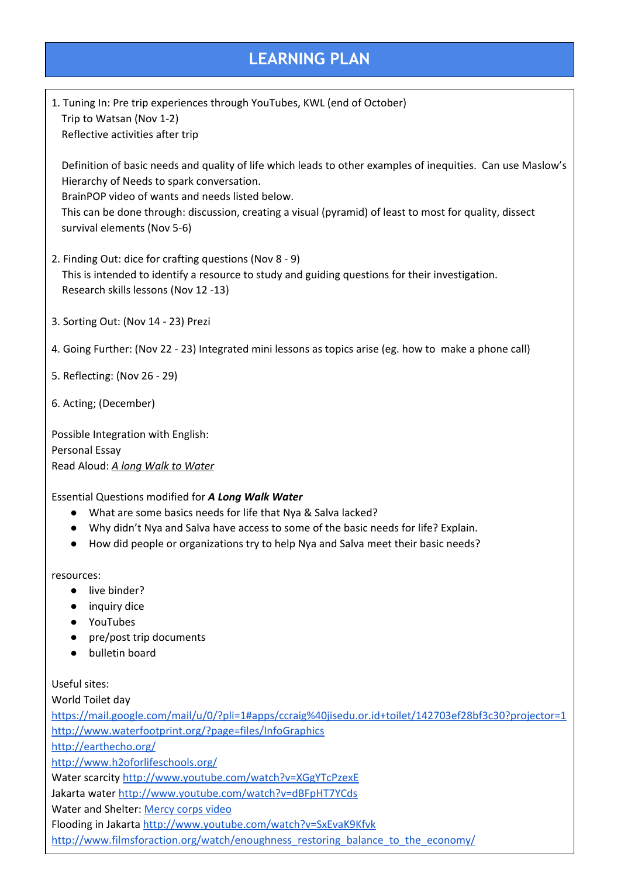## **LEARNING PLAN**

1. Tuning In: Pre trip experiences through YouTubes, KWL (end of October) Trip to Watsan (Nov 1-2) Reflective activities after trip

Definition of basic needs and quality of life which leads to other examples of inequities. Can use Maslow's Hierarchy of Needs to spark conversation.

BrainPOP video of wants and needs listed below.

This can be done through: discussion, creating a visual (pyramid) of least to most for quality, dissect survival elements (Nov 5-6)

- 2. Finding Out: dice for crafting questions (Nov 8 9) This is intended to identify a resource to study and guiding questions for their investigation. Research skills lessons (Nov 12 -13)
- 3. Sorting Out: (Nov 14 23) Prezi
- 4. Going Further: (Nov 22 23) Integrated mini lessons as topics arise (eg. how to make a phone call)
- 5. Reflecting: (Nov 26 29)
- 6. Acting; (December)

Possible Integration with English: Personal Essay Read Aloud: *A long Walk to Water*

#### Essential Questions modified for *A Long Walk Water*

- What are some basics needs for life that Nya & Salva lacked?
- Why didn't Nya and Salva have access to some of the basic needs for life? Explain.
- How did people or organizations try to help Nya and Salva meet their basic needs?

resources:

- live binder?
- inquiry dice
- YouTubes
- pre/post trip documents
- bulletin board

Useful sites:

World Toilet day

<https://mail.google.com/mail/u/0/?pli=1#apps/ccraig%40jisedu.or.id+toilet/142703ef28bf3c30?projector=1> <http://www.waterfootprint.org/?page=files/InfoGraphics>

<http://earthecho.org/>

<http://www.h2oforlifeschools.org/>

Water scarcity <http://www.youtube.com/watch?v=XGgYTcPzexE>

Jakarta water <http://www.youtube.com/watch?v=dBFpHT7YCds>

Water and Shelter: [Mercy](http://www.youtube.com/watch?v=dgP_SlIVc_c) corps video

Flooding in Jakarta <http://www.youtube.com/watch?v=SxEvaK9Kfvk>

[http://www.filmsforaction.org/watch/enoughness\\_restoring\\_balance\\_to\\_the\\_economy/](http://www.filmsforaction.org/watch/enoughness_restoring_balance_to_the_economy/)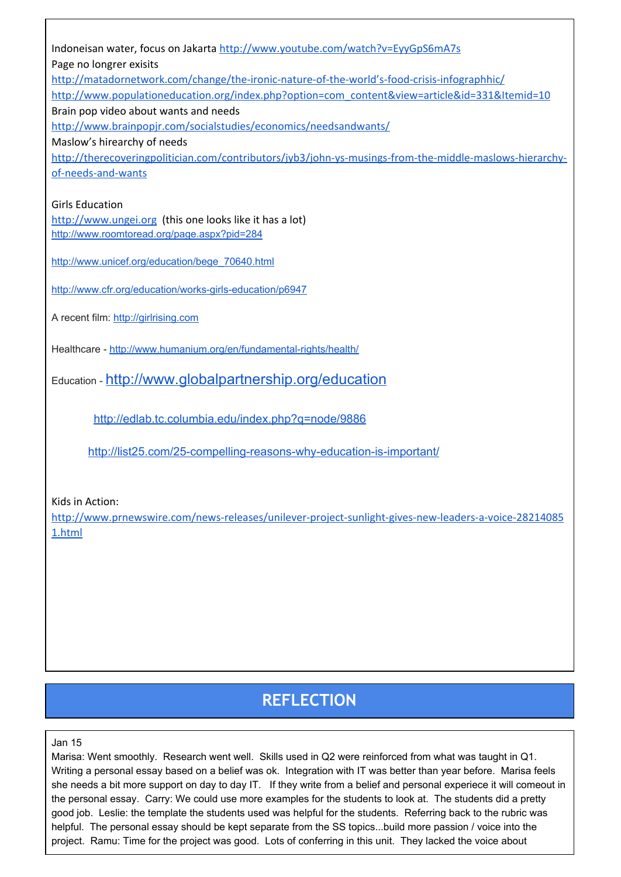| Indoneisan water, focus on Jakarta http://www.youtube.com/watch?v=EyyGpS6mA7s                           |
|---------------------------------------------------------------------------------------------------------|
| Page no longrer exisits                                                                                 |
| http://matadornetwork.com/change/the-ironic-nature-of-the-world's-food-crisis-infographhic/             |
| http://www.populationeducation.org/index.php?option=com_content&view=article&id=331&Itemid=10           |
| Brain pop video about wants and needs                                                                   |
| http://www.brainpopjr.com/socialstudies/economics/needsandwants/                                        |
| Maslow's hirearchy of needs                                                                             |
| http://therecoveringpolitician.com/contributors/jyb3/john-ys-musings-from-the-middle-maslows-hierarchy- |
| of-needs-and-wants                                                                                      |
|                                                                                                         |
| <b>Girls Education</b>                                                                                  |
| http://www.ungei.org (this one looks like it has a lot)                                                 |
| http://www.roomtoread.org/page.aspx?pid=284                                                             |
|                                                                                                         |
| http://www.unicef.org/education/bege 70640.html                                                         |
|                                                                                                         |
| http://www.cfr.org/education/works-girls-education/p6947                                                |
|                                                                                                         |
| A recent film: http://girlrising.com                                                                    |
|                                                                                                         |
| Healthcare - http://www.humanium.org/en/fundamental-rights/health/                                      |
|                                                                                                         |
| Education - http://www.globalpartnership.org/education                                                  |
|                                                                                                         |
| http://edlab.tc.columbia.edu/index.php?q=node/9886                                                      |
|                                                                                                         |
| http://list25.com/25-compelling-reasons-why-education-is-important/                                     |
|                                                                                                         |
|                                                                                                         |
|                                                                                                         |

Kids in Action:

[http://www.prnewswire.com/news-releases/unilever-project-sunlight-gives-new-leaders-a-voice-28214085](http://www.prnewswire.com/news-releases/unilever-project-sunlight-gives-new-leaders-a-voice-282140851.html) [1.html](http://www.prnewswire.com/news-releases/unilever-project-sunlight-gives-new-leaders-a-voice-282140851.html)

# **REFLECTION**

Jan 15

Marisa: Went smoothly. Research went well. Skills used in Q2 were reinforced from what was taught in Q1. Writing a personal essay based on a belief was ok. Integration with IT was better than year before. Marisa feels she needs a bit more support on day to day IT. If they write from a belief and personal experiece it will comeout in the personal essay. Carry: We could use more examples for the students to look at. The students did a pretty good job. Leslie: the template the students used was helpful for the students. Referring back to the rubric was helpful. The personal essay should be kept separate from the SS topics...build more passion / voice into the project. Ramu: Time for the project was good. Lots of conferring in this unit. They lacked the voice about